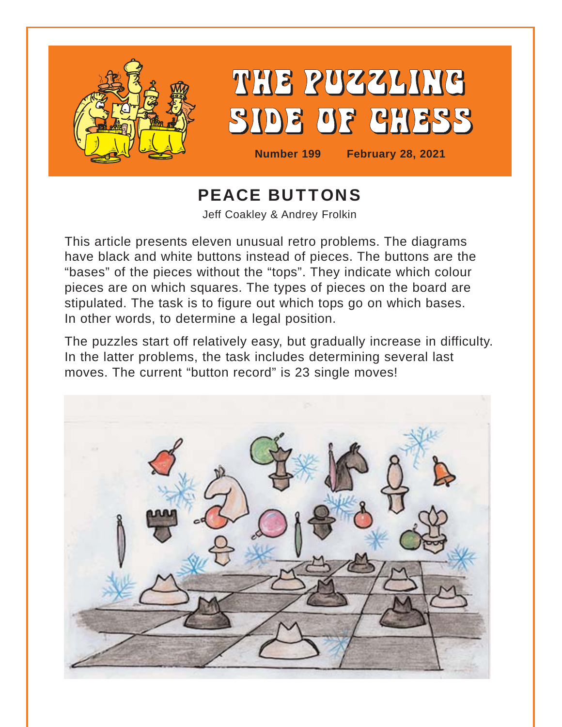

## PEACE BUTTONS Jeff Coakley & Andrey Frolkin

This article presents eleven unusual retro problems. The diagrams have black and white buttons instead of pieces. The buttons are the "bases" of the pieces without the "tops". They indicate which colour pieces are on which squares. The types of pieces on the board are stipulated. The task is to figure out which tops go on which bases. In other words, to determine a legal position.

The puzzles start off relatively easy, but gradually increase in difficulty. In the latter problems, the task includes determining several last moves. The current "button record" is 23 single moves!

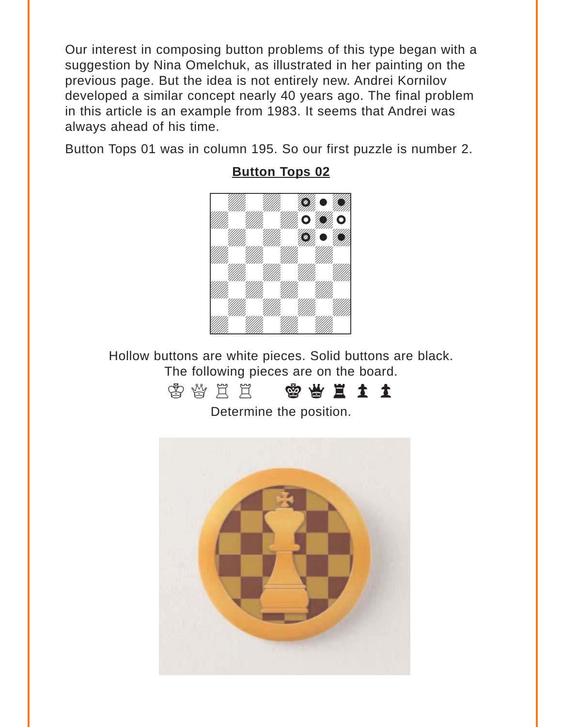<span id="page-1-0"></span>Our interest in composing button problems of this type began with a suggestion by Nina Omelchuk, as illustrated in her painting on the previous page. But the idea is not entirely new. Andrei Kornilov developed a similar concept nearly 40 years ago. The final problem in this article is an example from 1983. It seems that Andrei was always ahead of his time.

Button Tops 01 was in column 195. So our first puzzle is number 2.



### **[Button Tops 02](#page-12-0)**

Hollow buttons are white pieces. Solid buttons are black. The following pieces are on the board.



Determine the position.

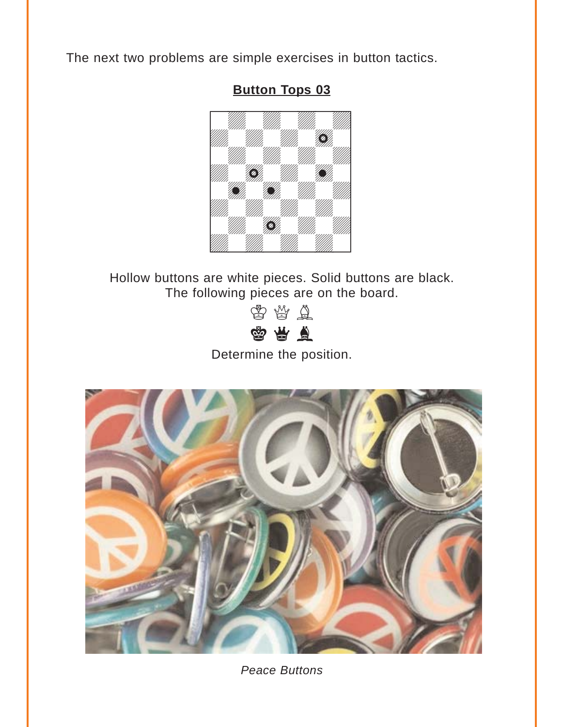<span id="page-2-0"></span>The next two problems are simple exercises in button tactics.

### **[Button Tops 03](#page-13-0)**



Hollow buttons are white pieces. Solid buttons are black. The following pieces are on the board.

> $\circledS$   $\circledA$  $x_1$

Determine the position.



*Peace Buttons*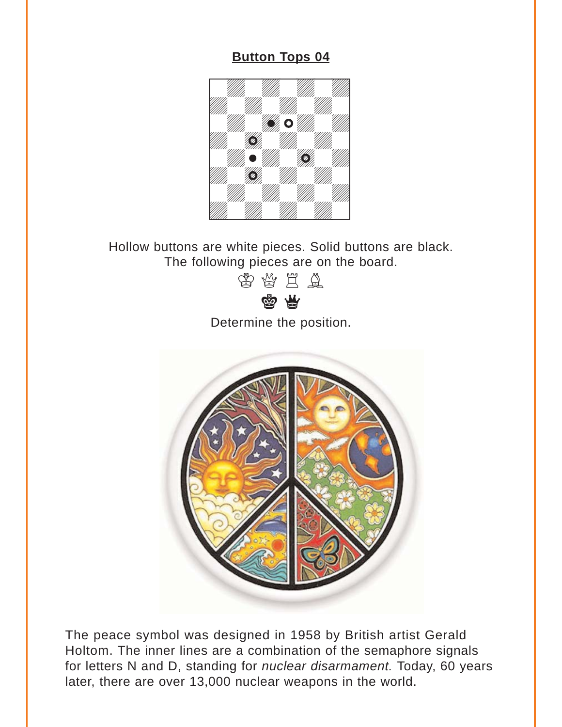<span id="page-3-0"></span>

Hollow buttons are white pieces. Solid buttons are black. The following pieces are on the board.



Determine the position.



The peace symbol was designed in 1958 by British artist Gerald Holtom. The inner lines are a combination of the semaphore signals for letters N and D, standing for *nuclear disarmament.* Today, 60 years later, there are over 13,000 nuclear weapons in the world.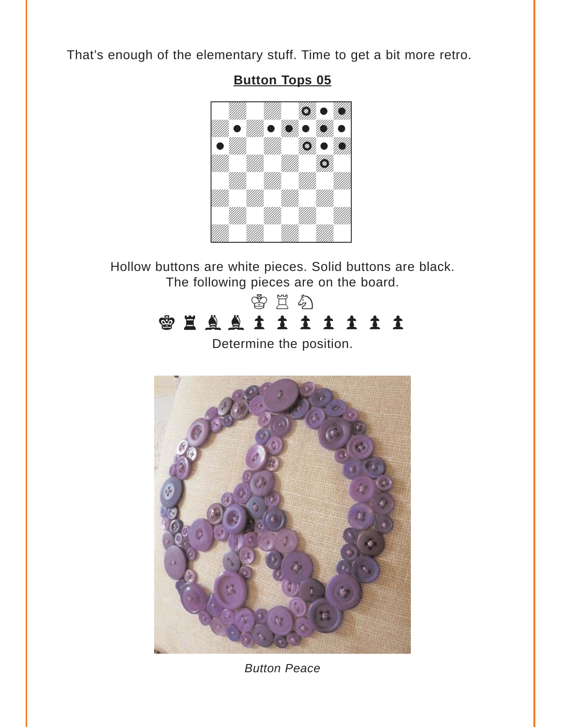<span id="page-4-0"></span>That's enough of the elementary stuff. Time to get a bit more retro.

### **[Button Tops 05](#page-15-0)**



Hollow buttons are white pieces. Solid buttons are black. The following pieces are on the board.



Determine the position.



*Button Peace*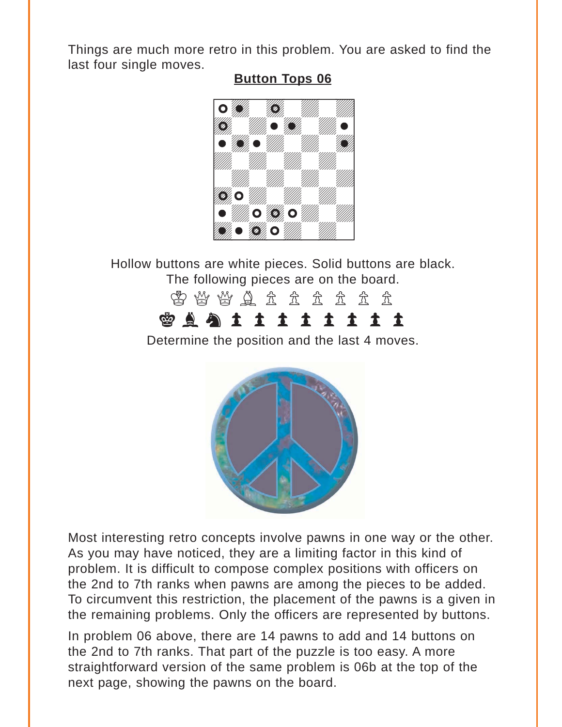<span id="page-5-0"></span>Things are much more retro in this problem. You are asked to find the last four single moves.

### **[Button Tops 06](#page-17-0)**



Hollow buttons are white pieces. Solid buttons are black. The following pieces are on the board.

# 含含的含义的 **SASSITIIII**

Determine the position and the last 4 moves.



Most interesting retro concepts involve pawns in one way or the other. As you may have noticed, they are a limiting factor in this kind of problem. It is difficult to compose complex positions with officers on the 2nd to 7th ranks when pawns are among the pieces to be added. To circumvent this restriction, the placement of the pawns is a given in the remaining problems. Only the officers are represented by buttons.

In problem 06 above, there are 14 pawns to add and 14 buttons on the 2nd to 7th ranks. That part of the puzzle is too easy. A more straightforward version of the same problem is 06b at the top of the next page, showing the pawns on the board.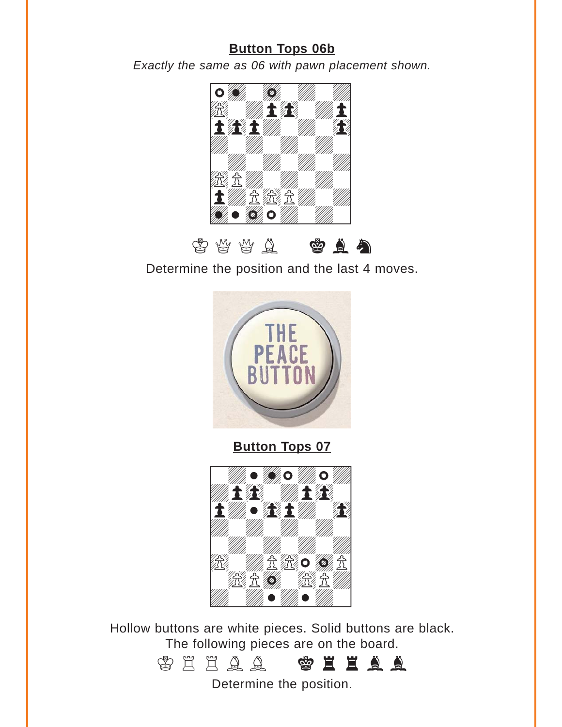### **[Button Tops 06b](#page-17-0)**

<span id="page-6-0"></span>*Exactly the same as 06 with pawn placement shown.* 



 $\circledS$  ( $\circledR$  ( $\circledR$  )  $\circledR$  ( $\circledR$  )  $\circledR$  )  $\circledR$ Determine the position and the last 4 moves.



**[Button Tops 07](#page-20-0)**



Hollow buttons are white pieces. Solid buttons are black. The following pieces are on the board.



Determine the position.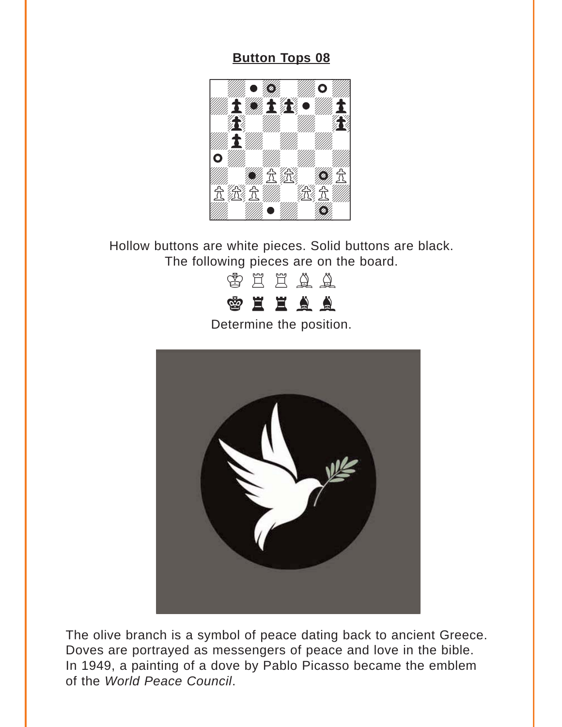<span id="page-7-0"></span>

Hollow buttons are white pieces. Solid buttons are black. The following pieces are on the board.



Determine the position.



The olive branch is a symbol of peace dating back to ancient Greece. Doves are portrayed as messengers of peace and love in the bible. In 1949, a painting of a dove by Pablo Picasso became the emblem of the *World Peace Council*.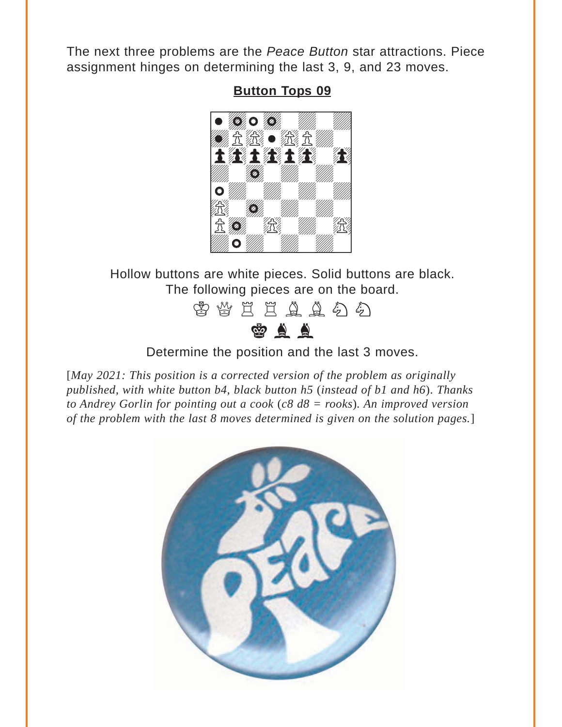<span id="page-8-0"></span>The next three problems are the *Peace Button* star attractions. Piece assignment hinges on determining the last 3, 9, and 23 moves.

#### **[Button Tops 09](#page-24-0)**



Hollow buttons are white pieces. Solid buttons are black. The following pieces are on the board.



#### Determine the position and the last 3 moves.

[*May 2021: This position is a corrected version of the problem as originally published, with white button b4, black button h5* (*instead of b1 and h6*). *Thanks to Andrey Gorlin for pointing out a cook* (*c8 d8 = rooks*)*. An improved version of the problem with the last 8 moves determined is given on the solution pages.*]

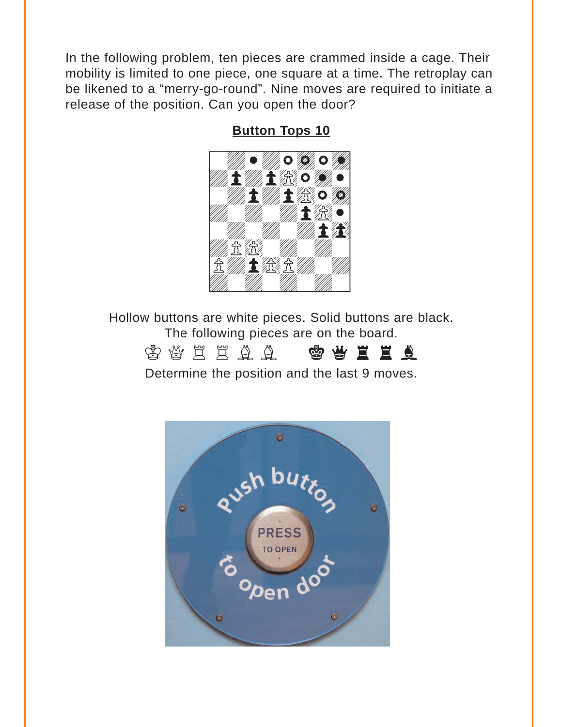<span id="page-9-0"></span>In the following problem, ten pieces are crammed inside a cage. Their mobility is limited to one piece, one square at a time. The retroplay can be likened to a "merry-go-round". Nine moves are required to initiate a release of the position. Can you open the door?

**[Button Tops 10](#page-28-0)**



Hollow buttons are white pieces. Solid buttons are black. The following pieces are on the board.



Determine the position and the last 9 moves.

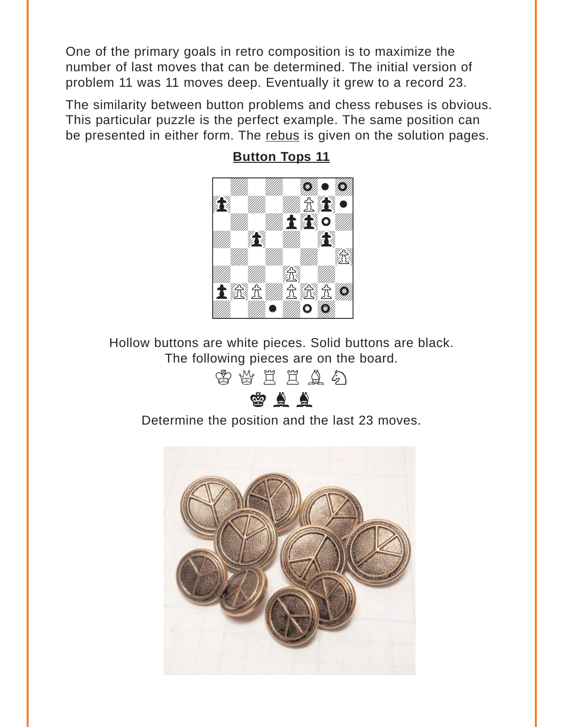<span id="page-10-0"></span>One of the primary goals in retro composition is to maximize the number of last moves that can be determined. The initial version of problem 11 was 11 moves deep. Eventually it grew to a record 23.

The similarity between button problems and chess rebuses is obvious. This particular puzzle is the perfect example. The same position can be presented in either form. The [rebus](#page-37-0) is given on the solution pages.



**[Button Tops 11](#page-32-0)**

Hollow buttons are white pieces. Solid buttons are black. The following pieces are on the board.

李替兰兰鱼名

 $\bullet$   $\bullet$ 

Determine the position and the last 23 moves.

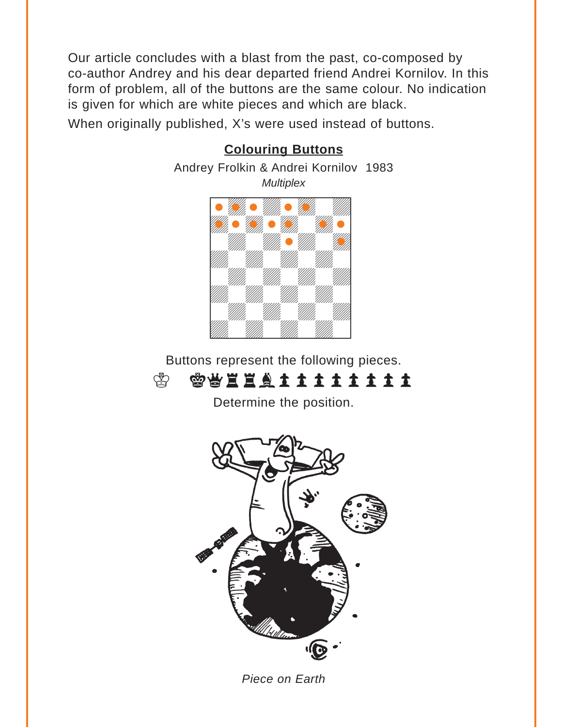<span id="page-11-0"></span>Our article concludes with a blast from the past, co-composed by co-author Andrey and his dear departed friend Andrei Kornilov. In this form of problem, all of the buttons are the same colour. No indication is given for which are white pieces and which are black.

When originally published, X's were used instead of buttons.



#### **[Colouring Buttons](#page-36-0)**

Buttons represent the following pieces.



Determine the position.



*Piece on Earth*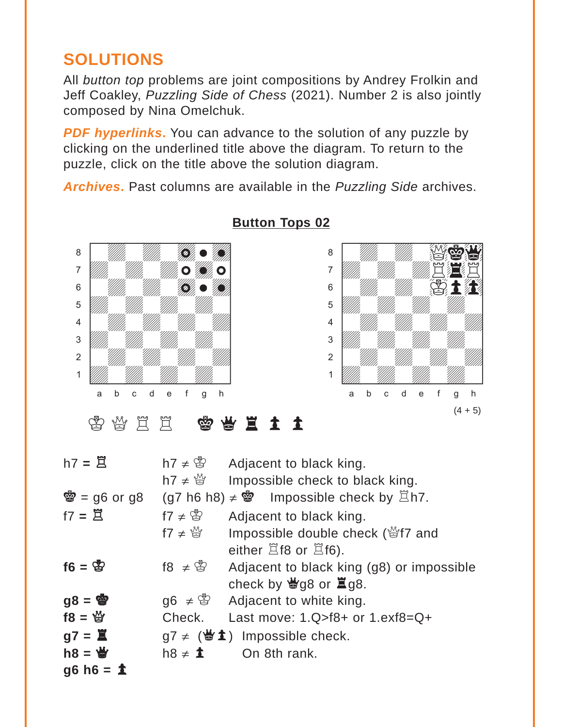## <span id="page-12-0"></span>**SOLUTIONS**

All *button top* problems are joint compositions by Andrey Frolkin and Jeff Coakley, *Puzzling Side of Chess* (2021). Number 2 is also jointly composed by Nina Omelchuk.

**PDF hyperlinks.** You can advance to the solution of any puzzle by clicking on the underlined title above the diagram. To return to the puzzle, click on the title above the solution diagram.

*Archives***.** Past columns are available in the *Puzzling Side* archives.



### **[Button Tops 02](#page-1-0)**



李俊臣三 曾告王王

| $h7 = \overline{2}$            | h7 $\neq$ $\circledS$ | Adjacent to black king.                                             |
|--------------------------------|-----------------------|---------------------------------------------------------------------|
|                                | h7 $\neq \frac{M}{Q}$ | Impossible check to black king.                                     |
| $\ddot{\mathbf{g}}$ = g6 or g8 |                       | $(g7 h6 h8) \neq$ \$ = Impossible check by $\Xi h7$ .               |
| $f7 = \mathbb{Z}$              | f7 $\neq$ $\circledS$ | Adjacent to black king.                                             |
|                                | f7 $\neq \mathcal{Q}$ | Impossible double check (營f7 and                                    |
|                                |                       | either $\Xi$ f8 or $\Xi$ f6).                                       |
| $f6 = \frac{8}{3}$             | $18 \neq \circledS$   | Adjacent to black king (g8) or impossible                           |
|                                |                       | check by $\bigcirc$ g8 or $\Xi$ g8.                                 |
| $gg = \mathbf{F}$              |                       | $\log 6 \neq$ $\otimes$ Adjacent to white king.                     |
| $18 = 8$                       | Check.                | Last move: $1.Q > f8+$ or $1.exf8=Q+$                               |
| $g7 = \Xi$                     |                       | $g7 \neq (\mathbf{\mathcal{L}} \cdot \mathbf{1})$ Impossible check. |
| $h8 = \frac{M}{2}$             | $h8 \neq 1$           | On 8th rank.                                                        |
| $g6 h6 = 1$                    |                       |                                                                     |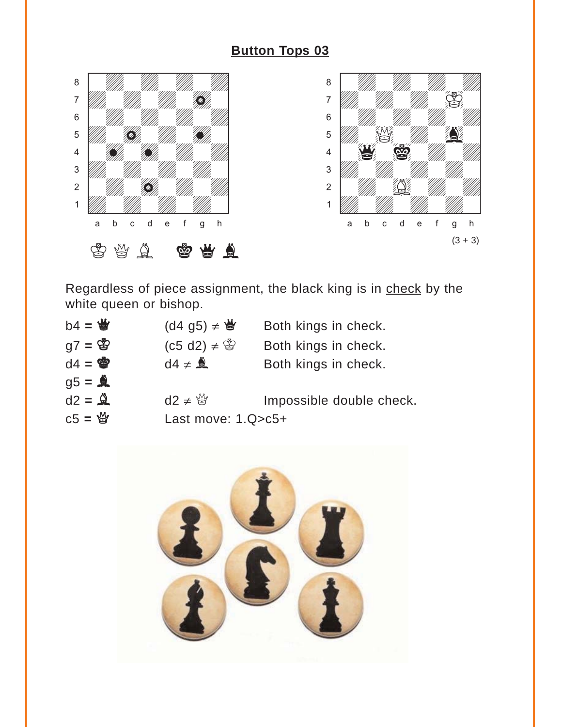<span id="page-13-0"></span>



Regardless of piece assignment, the black king is in check by the white queen or bishop.

| $b4 = \frac{M}{2}$ | $(dd$ g5) $\neq \biguplus$ | Both kings in check.     |
|--------------------|----------------------------|--------------------------|
| $q7 = \circled{3}$ | $(c5 d2) \neq \circledS$   | Both kings in check.     |
| $d4 = \Phi$        | $d4 \neq 2$                | Both kings in check.     |
| $g5 = \mathbf{A}$  |                            |                          |
| $d2 = \mathbf{Q}$  | $d2 \neq \frac{M}{M}$      | Impossible double check. |
| $C5 = \frac{M}{2}$ | Last move: $1.Q>c5+$       |                          |

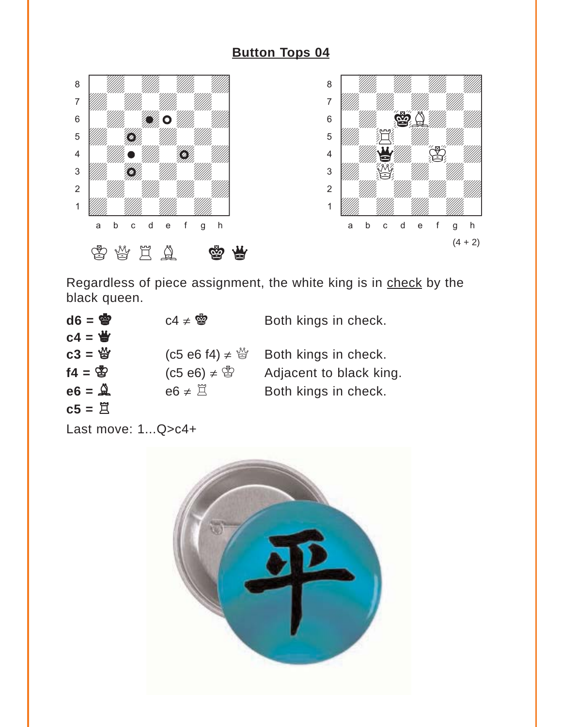<span id="page-14-0"></span>

Regardless of piece assignment, the white king is in check by the black queen.

| $d6 = \frac{d}{d}$  | $C4 \neq \frac{36}{2}$       | Both kings in check.    |
|---------------------|------------------------------|-------------------------|
| $c4 =$              |                              |                         |
| $c3 = \frac{16}{3}$ | (c5 e6 f4) ≠ $\mathbb{S}$    | Both kings in check.    |
| $f4 = \frac{1}{10}$ | $(C5 e6) \neq$ $\circled{3}$ | Adjacent to black king. |
| $e6 = \mathcal{Q}$  | $e6 \neq \Xi$                | Both kings in check.    |
| $c5 = \n\mathbb{Z}$ |                              |                         |

Last move: 1...Q>c4+

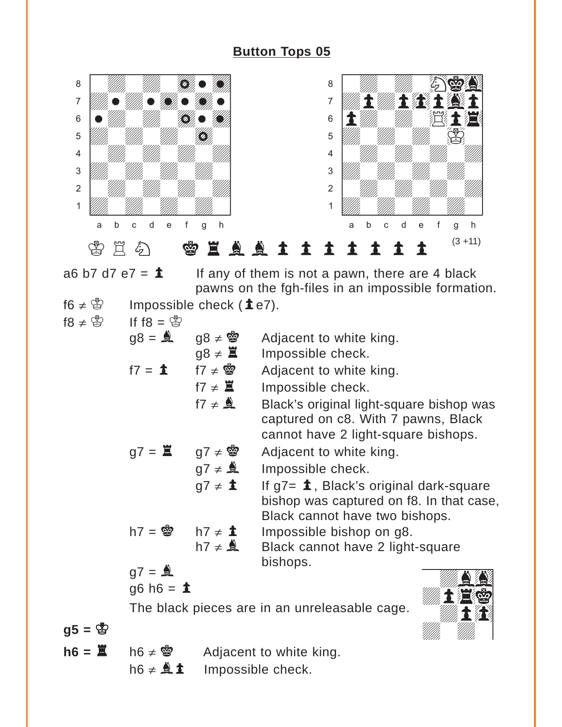<span id="page-15-0"></span>

a6 b7 d7 e7 =  $\triangle$  If any of them is not a pawn, there are 4 black pawns on the fgh-files in an impossible formation.  $f \in \mathcal{L} \otimes$  Impossible check (1e7).

|                     | Impossible check $(4e)$ |
|---------------------|-------------------------|
| $18 \neq \circledS$ | If f8 = $\mathcal{B}$   |

| $IO + \ominus$    | $1110 - 6$                                    |                                         |                                              |  |
|-------------------|-----------------------------------------------|-----------------------------------------|----------------------------------------------|--|
|                   | $gg = \triangle$                              | $98 \neq 22$                            | Adjacent to white king.                      |  |
|                   |                                               | $g8 \neq \Xi$                           | Impossible check.                            |  |
|                   | $f7 = 1$ $f7 \neq$ 曾                          |                                         | Adjacent to white king.                      |  |
|                   |                                               | f7 $\neq$ $\blacksquare$                | Impossible check.                            |  |
|                   |                                               | $f7 \neq \overset{\bullet}{\mathbf{A}}$ | Black's original light-square bishop was     |  |
|                   |                                               |                                         | captured on c8. With 7 pawns, Black          |  |
|                   |                                               |                                         | cannot have 2 light-square bishops.          |  |
|                   | $g7 = \Xi$ $g7 \neq \mathcal{B}$              |                                         | Adjacent to white king.                      |  |
|                   |                                               | $g7 \neq 2$                             | Impossible check.                            |  |
|                   |                                               | $g7 \neq \mathbf{\dot{1}}$              | If $g7 = \pm$ , Black's original dark-square |  |
|                   |                                               |                                         | bishop was captured on f8. In that case,     |  |
|                   |                                               |                                         | Black cannot have two bishops.               |  |
|                   | h7 = $\bullet$ h7 $\neq$ <b>i</b>             |                                         | Impossible bishop on g8.                     |  |
|                   |                                               | $h7 \neq 2$                             | Black cannot have 2 light-square             |  |
|                   | $g7 = 2$                                      |                                         | bishops.                                     |  |
|                   | $g6 h6 = \pm$                                 |                                         |                                              |  |
|                   | The black pieces are in an unreleasable cage. |                                         |                                              |  |
|                   |                                               |                                         |                                              |  |
| $g5 = \circledS$  |                                               |                                         |                                              |  |
| $h6 = \mathbb{Z}$ | $h6 \neq$ 曾                                   |                                         | Adjacent to white king.                      |  |

h6  $\neq$   $\triangle$  **1** Impossible check.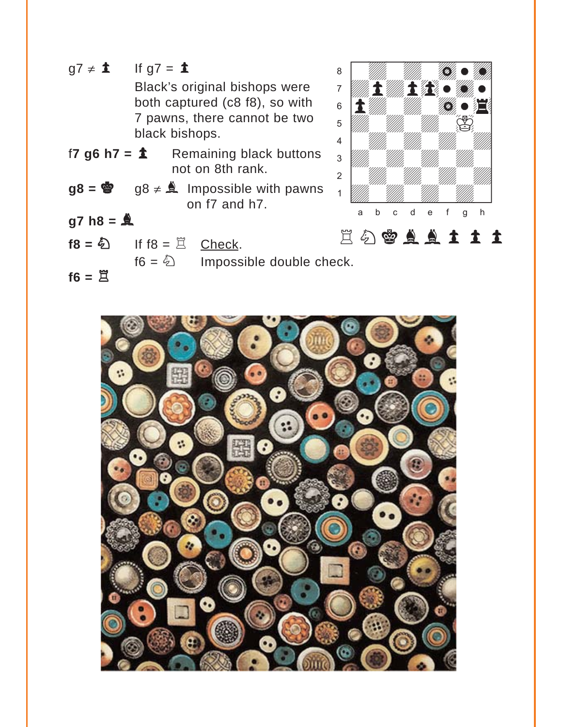$g7 \neq \mathbf{\dot{1}}$  If  $g7 = \mathbf{\dot{1}}$ Black's original bishops were both captured (c8 f8), so with 7 pawns, there cannot be two black bishops. f**7 g6 h7 =**  $\triangle$  Remaining black buttons not on 8th rank.  $g8 = \dot{a}$  g8  $\neq$  **A** Impossible with pawns on f7 and h7. **g7 h8 =** b  $f8 = \bigotimes$  If  $f8 = \Xi$  Check.  $f6 = \textcircled{2}$  Impossible double check. with the set of the set of the set of the set of the set of the set of the set of the set of the set of the set of the set of the set of the set of the set of the set of the set of the set of the set of the set of the set  $\begin{picture}(40,40) \put(0,0){\line(1,0){10}} \put(15,0){\line(1,0){10}} \put(15,0){\line(1,0){10}} \put(15,0){\line(1,0){10}} \put(15,0){\line(1,0){10}} \put(15,0){\line(1,0){10}} \put(15,0){\line(1,0){10}} \put(15,0){\line(1,0){10}} \put(15,0){\line(1,0){10}} \put(15,0){\line(1,0){10}} \put(15,0){\line(1,0){10}} \put(15,0){\line(1$  $\mathcal{A}$  and  $\mathbf{A}$  and  $\mathbf{A}$  and  $\mathbf{A}$  and  $\mathbf{A}$  $\mathbf{S}$  is the contribution of  $\mathbf{E}$  $\mathcal{L}$ 4 William William William William 3 William William William Company and the Company of the William Company of the Company of The Company of the Company of the Company of the Company of the Company of the Company of the Company of the Company of the Company 2 | *William William William William William William William William William William William William William William William William William William William William William William William William William William William W* 1 *Uddy William William William Company William William Company William Company* a b c d e f g h **1944 - Here**  $\bullet$  that  $\bullet$  $\mathcal{D}_{\ell}$   $\bullet$ EAAA11

 $f6 = \mathbb{E}$ 

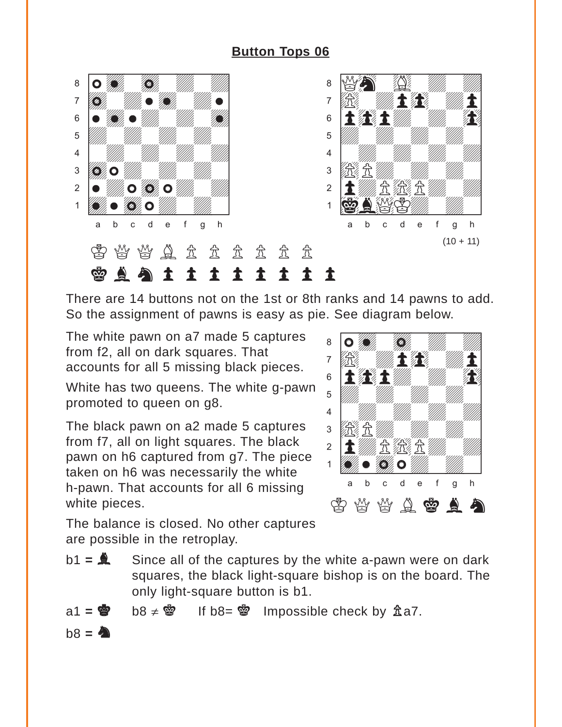<span id="page-17-0"></span>![](_page_17_Picture_1.jpeg)

There are 14 buttons not on the 1st or 8th ranks and 14 pawns to add. So the assignment of pawns is easy as pie. See diagram below.

The white pawn on a7 made 5 captures from f2, all on dark squares. That accounts for all 5 missing black pieces.

White has two queens. The white g-pawn promoted to queen on g8.

The black pawn on a2 made 5 captures from f7, all on light squares. The black pawn on h6 captured from g7. The piece taken on h6 was necessarily the white h-pawn. That accounts for all 6 missing white pieces.

![](_page_17_Picture_6.jpeg)

The balance is closed. No other captures are possible in the retroplay.

- b1 = **A** Since all of the captures by the white a-pawn were on dark squares, the black light-square bishop is on the board. The only light-square button is b1.
- $a1 = \circledcirc$  b8  $\neq \circledcirc$  If b8=  $\circledcirc$  Impossible check by  $\mathbb{\hat{A}}$ a7.  $b8 = 20$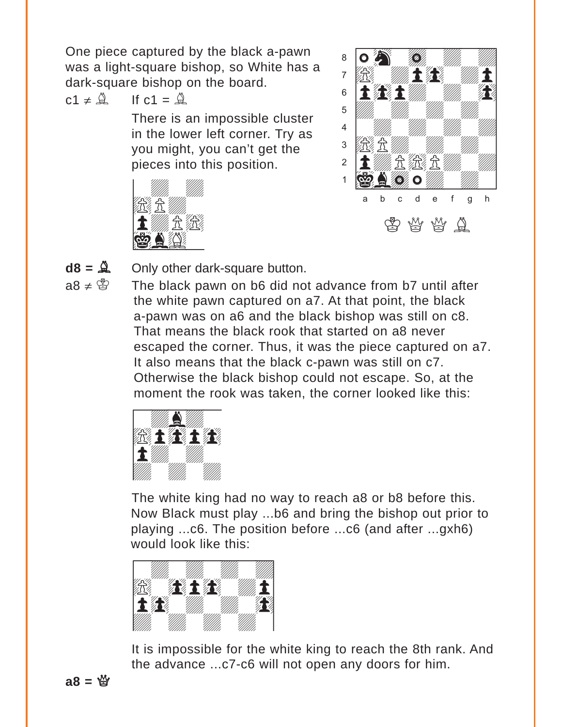One piece captured by the black a-pawn was a light-square bishop, so White has a dark-square bishop on the board.

$$
c1 \neq \mathcal{Q} \qquad \text{If } c1 = \mathcal{Q}
$$

There is an impossible cluster in the lower left corner. Try as you might, you can't get the pieces into this position.

![](_page_18_Picture_3.jpeg)

![](_page_18_Picture_4.jpeg)

**d8 =** B Only other dark-square button.  $O_{\text{rel}}$  at a set of

 $a8 \neq \mathcal{B}$  The black pawn on b6 did not advance from b7 until after the white pawn captured on a7. At that point, the black a-pawn was on a6 and the black bishop was still on c8. That means the black rook that started on a8 never escaped the corner. Thus, it was the piece captured on a7. It also means that the black c-pawn was still on c7. Otherwise the black bishop could not escape. So, at the moment the rook was taken, the corner looked like this:<br>
————————————————————

![](_page_18_Picture_8.jpeg)

The white king had no way to reach a8 or b8 before this. Now Black must play ...b6 and bring the bishop out prior to playing ...c6. The position before ...c6 (and after ...gxh6) would look like this:<br>————————————————————

![](_page_18_Picture_10.jpeg)

It is impossible for the white king to reach the 8th rank. And the advance ...c7-c6 will not open any doors for him.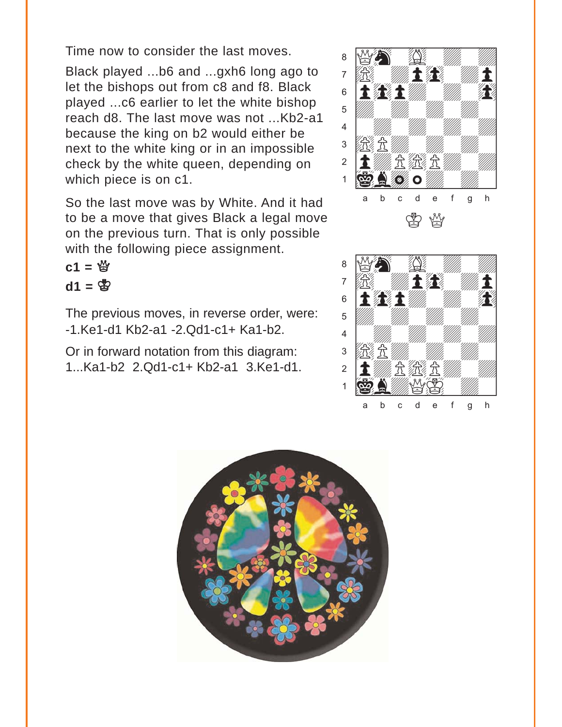Time now to consider the last moves.

Black played ...b6 and ...gxh6 long ago to let the bishops out from c8 and f8. Black played ...c6 earlier to let the white bishop reach d8. The last move was not ...Kb2-a1 because the king on b2 would either be next to the white king or in an impossible check by the white queen, depending on which piece is on c1.

So the last move was by White. And it had to be a move that gives Black a legal move on the previous turn. That is only possible with the following piece assignment.

 $c1 = \frac{10}{3}$  $d1 = \Phi$ 

The previous moves, in reverse order, were: -1.Ke1-d1 Kb2-a1 -2.Qd1-c1+ Ka1-b2.

Or in forward notation from this diagram: 1...Ka1-b2 2.Qd1-c1+ Kb2-a1 3.Ke1-d1.

![](_page_19_Picture_6.jpeg)

![](_page_19_Picture_7.jpeg)

![](_page_19_Picture_8.jpeg)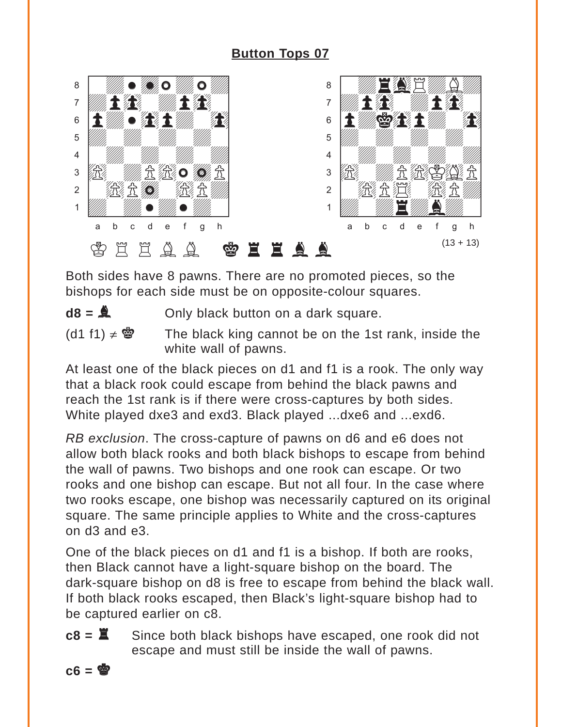<span id="page-20-0"></span>![](_page_20_Picture_1.jpeg)

Both sides have 8 pawns. There are no promoted pieces, so the bishops for each side must be on opposite-colour squares.

 $d8 = \mathbf{A}$  Only black button on a dark square.

(d1 f1)  $\neq$   $\otimes$  The black king cannot be on the 1st rank, inside the white wall of pawns.

At least one of the black pieces on d1 and f1 is a rook. The only way that a black rook could escape from behind the black pawns and reach the 1st rank is if there were cross-captures by both sides. White played dxe3 and exd3. Black played ...dxe6 and ...exd6.

*RB exclusion*. The cross-capture of pawns on d6 and e6 does not allow both black rooks and both black bishops to escape from behind the wall of pawns. Two bishops and one rook can escape. Or two rooks and one bishop can escape. But not all four. In the case where two rooks escape, one bishop was necessarily captured on its original square. The same principle applies to White and the cross-captures on d3 and e3.

One of the black pieces on d1 and f1 is a bishop. If both are rooks, then Black cannot have a light-square bishop on the board. The dark-square bishop on d8 is free to escape from behind the black wall. If both black rooks escaped, then Black's light-square bishop had to be captured earlier on c8.

**c8 =**  $\Xi$  Since both black bishops have escaped, one rook did not escape and must still be inside the wall of pawns.

![](_page_20_Picture_10.jpeg)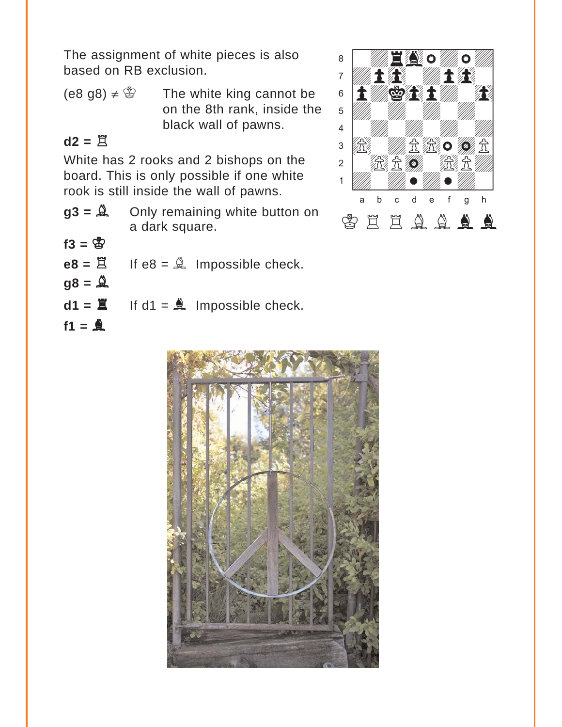The assignment of white pieces is also based on RB exclusion.

 $(e8 g8) \neq$   $\circled{2}$  The white king cannot be on the 8th rank, inside the black wall of pawns.

## $d2 = \overline{R}$

White has 2 rooks and 2 bishops on the board. This is only possible if one white rook is still inside the wall of pawns.

- **g3 =** B Only remaining white button on a dark square.
- $f3 = \frac{4}{3}$

 $f1 = \frac{A}{2}$ 

|          | $e8 = \Xi$ If $e8 = \hat{\Delta}$ Impossible check. |
|----------|-----------------------------------------------------|
| $98 = 4$ |                                                     |

 $d1 = \mathbf{X}$  If  $d1 = \mathbf{A}$  Impossible check.

![](_page_21_Picture_8.jpeg)

![](_page_21_Picture_9.jpeg)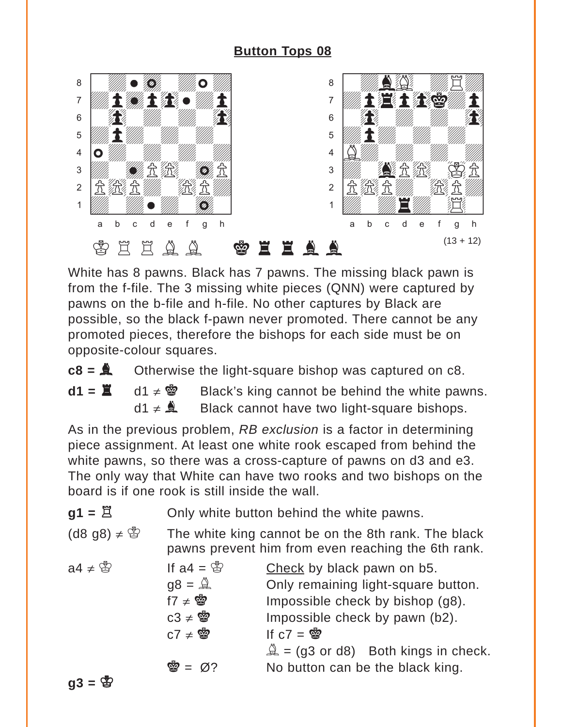<span id="page-22-0"></span>![](_page_22_Picture_1.jpeg)

White has 8 pawns. Black has 7 pawns. The missing black pawn is from the f-file. The 3 missing white pieces (QNN) were captured by pawns on the b-file and h-file. No other captures by Black are possible, so the black f-pawn never promoted. There cannot be any promoted pieces, therefore the bishops for each side must be on opposite-colour squares.

 $c8 = 2$  Otherwise the light-square bishop was captured on  $c8$ .

**d1 =**  $\mathbf{X}$  d1 ≠  $\mathbf{Y}$  Black's king cannot be behind the white pawns. d1  $\neq$   $\triangle$  Black cannot have two light-square bishops.

As in the previous problem, *RB exclusion* is a factor in determining piece assignment. At least one white rook escaped from behind the white pawns, so there was a cross-capture of pawns on d3 and e3. The only way that White can have two rooks and two bishops on the board is if one rook is still inside the wall.

| $g1 = \overline{\Xi}$ | Only white button behind the white pawns. |  |
|-----------------------|-------------------------------------------|--|
|-----------------------|-------------------------------------------|--|

(d8 g8)  $\neq$   $\circled{2}$  The white king cannot be on the 8th rank. The black pawns prevent him from even reaching the 6th rank.

| $a4 \neq \mathcal{B}$ | If $a4 = \circledS$     | Check by black pawn on b5.                           |
|-----------------------|-------------------------|------------------------------------------------------|
|                       | $gg = \mathbb{Q}$       | Only remaining light-square button.                  |
|                       | $f7 \neq \n\circledast$ | Impossible check by bishop (g8).                     |
|                       | $C3 \neq \mathbf{S}$    | Impossible check by pawn (b2).                       |
|                       | $C7 \neq \n\mathbf{S}$  | If $c7 =$                                            |
|                       |                         | $\hat{\mathbb{A}}$ = (g3 or d8) Both kings in check. |
|                       | 曾 = $\varnothing$ ?     | No button can be the black king.                     |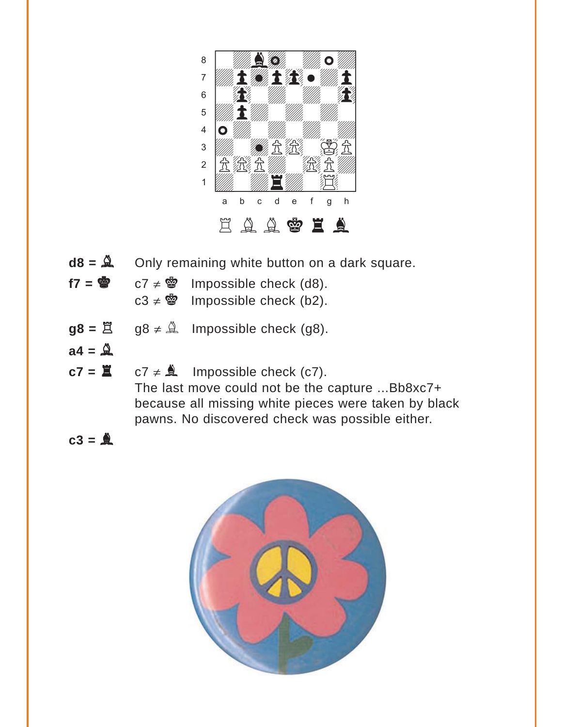![](_page_23_Picture_0.jpeg)

- $d8 = \mathbf{A}$  Only remaining white button on a dark square.
- $f7 = \circledast$  c7  $\neq \circledast$  Impossible check (d8).

c3  $\neq$  \$ Impossible check (b2).

- $g8 = \overline{2}$  g8  $\neq \hat{4}$  Impossible check (g8).
- $a4 = \overset{8}{\oplus}$
- $c7 = \mathbb{Z}$   $c7 \neq \mathbb{A}$  Impossible check (c7). The last move could not be the capture ...Bb8xc7+ because all missing white pieces were taken by black pawns. No discovered check was possible either.
- $c3 = \stackrel{\triangle}{\triangle}$

![](_page_23_Picture_8.jpeg)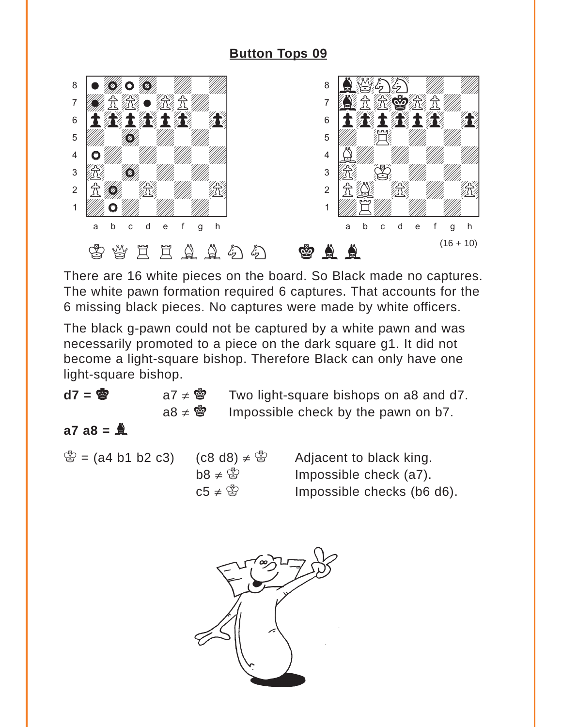<span id="page-24-0"></span>![](_page_24_Picture_1.jpeg)

There are 16 white pieces on the board. So Black made no captures. The white pawn formation required 6 captures. That accounts for the 6 missing black pieces. No captures were made by white officers.

The black g-pawn could not be captured by a white pawn and was necessarily promoted to a piece on the dark square g1. It did not become a light-square bishop. Therefore Black can only have one light-square bishop.

| d7 = 曾 | $a7 \neq \ddot{a}$ Two light-square bishops on a8 and d7. |
|--------|-----------------------------------------------------------|
|        | $a8 \neq \ddot{a}$ Impossible check by the pawn on b7.    |

## $a7 \ a8 = \frac{b}{b}$

 $\mathbb{S} =$  (a4 b1 b2 c3) (c8 d8)  $\neq$   $\mathbb{S}$  Adjacent to black king.  $b8 \neq \mathcal{B}$  Impossible check (a7). c5  $\neq$  \form{B}</sub> 8 Impossible checks (b6 d6).

![](_page_24_Picture_8.jpeg)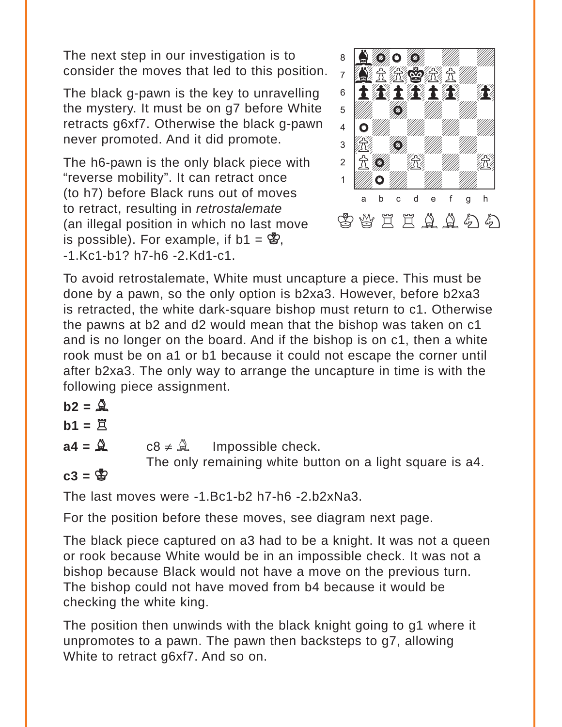The next step in our investigation is to consider the moves that led to this position.

The black g-pawn is the key to unravelling the mystery. It must be on g7 before White retracts g6xf7. Otherwise the black g-pawn never promoted. And it did promote.

The h6-pawn is the only black piece with "reverse mobility". It can retract once (to h7) before Black runs out of moves to retract, resulting in *retrostalemate* (an illegal position in which no last move is possible). For example, if  $b1 = \mathcal{B}$ , -1.Kc1-b1? h7-h6 -2.Kd1-c1.

![](_page_25_Picture_3.jpeg)

To avoid retrostalemate, White must uncapture a piece. This must be done by a pawn, so the only option is b2xa3. However, before b2xa3 is retracted, the white dark-square bishop must return to c1. Otherwise the pawns at b2 and d2 would mean that the bishop was taken on c1 and is no longer on the board. And if the bishop is on c1, then a white rook must be on a1 or b1 because it could not escape the corner until after b2xa3. The only way to arrange the uncapture in time is with the following piece assignment.

 $b2 = \mathbf{Q}$ 

$$
b1 = \mathbb{Z}
$$

 $a4 = \mathbb{R}$  c8  $\neq \mathbb{R}$  Impossible check.

The only remaining white button on a light square is a4.

 $c3 = \frac{8}{3}$ 

The last moves were -1.Bc1-b2 h7-h6 -2.b2xNa3.

For the position before these moves, see diagram next page.

The black piece captured on a3 had to be a knight. It was not a queen or rook because White would be in an impossible check. It was not a bishop because Black would not have a move on the previous turn. The bishop could not have moved from b4 because it would be checking the white king.

The position then unwinds with the black knight going to g1 where it unpromotes to a pawn. The pawn then backsteps to g7, allowing White to retract g6xf7. And so on.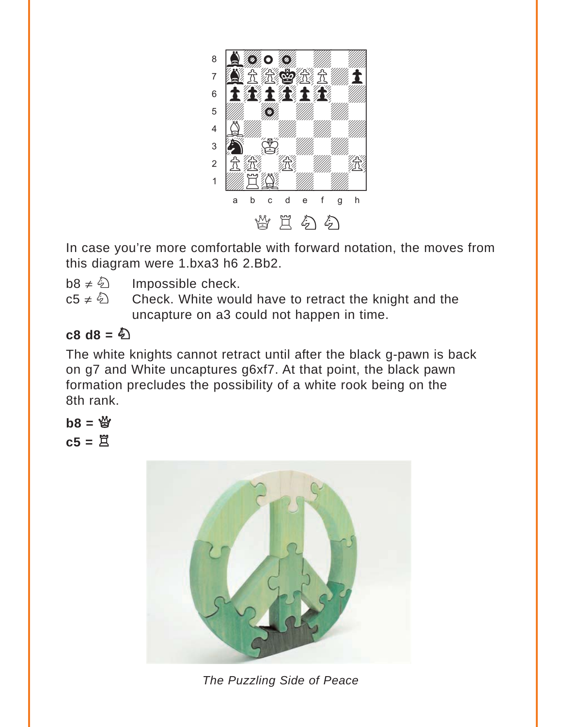![](_page_26_Picture_0.jpeg)

In case you're more comfortable with forward notation, the moves from this diagram were 1.bxa3 h6 2.Bb2.

 $b8 \neq \&$  Impossible check.

c5  $\neq \hat{\mathbb{Q}}$  Check. White would have to retract the knight and the uncapture on a3 could not happen in time.

## $c8$  d8 =  $\&$

The white knights cannot retract until after the black g-pawn is back on g7 and White uncaptures g6xf7. At that point, the black pawn formation precludes the possibility of a white rook being on the 8th rank.

$$
b8 = \overset{\omega_0}{\boxtimes}
$$

$$
c5 = \overset{\omega_0}{\boxtimes}
$$

![](_page_26_Picture_7.jpeg)

*The Puzzling Side of Peace*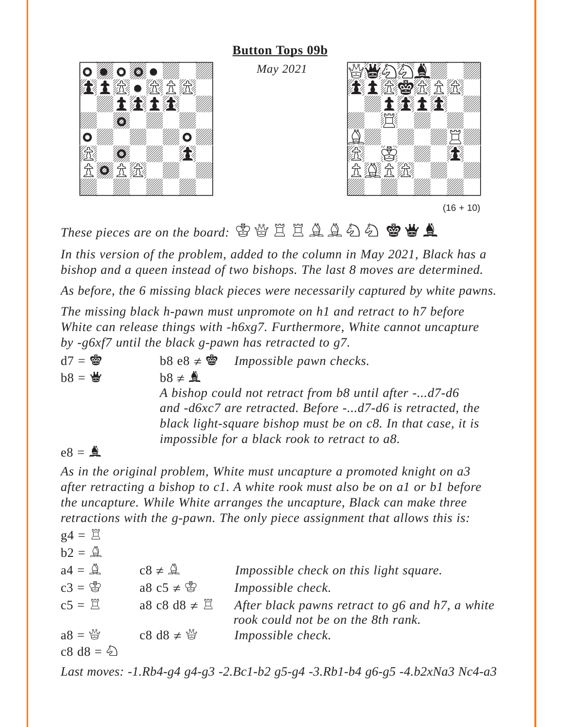#### **[Button Tops 09b](#page-8-0)**

*May 2021*

![](_page_27_Picture_2.jpeg)

![](_page_27_Picture_3.jpeg)

These pieces are on the board: 雷營 E E Q Q Q Q **@ 当 A** 

*In this version of the problem, added to the column in May 2021, Black has a bishop and a queen instead of two bishops. The last 8 moves are determined.* 

*As before, the 6 missing black pieces were necessarily captured by white pawns.* 

*The missing black h-pawn must unpromote on h1 and retract to h7 before White can release things with -h6xg7. Furthermore, White cannot uncapture by -g6xf7 until the black g-pawn has retracted to g7.*

 $d7 =$  $\otimes$  **b**8 e8  $\neq$  $\otimes$  *Impossible pawn checks.*  $b8 =$  $b8 \neq 2$ *A bishop could not retract from b8 until after -...d7-d6 and -d6xc7 are retracted. Before -...d7-d6 is retracted, the black light-square bishop must be on c8. In that case, it is impossible for a black rook to retract to a8.*

### $e8 = \triangle$

*As in the original problem, White must uncapture a promoted knight on a3 after retracting a bishop to c1. A white rook must also be on a1 or b1 before the uncapture. While White arranges the uncapture, Black can make three retractions with the g-pawn. The only piece assignment that allows this is:*

$$
g4 = \mathbb{E}
$$
  
\n
$$
b2 = \mathbb{A}
$$
  
\n
$$
a4 = \mathbb{A}
$$
  
\n
$$
c3 = \mathbb{B}
$$
  
\n
$$
a8 \cos 48 \neq \mathbb{B}
$$
  
\n
$$
c8 \neq \mathbb{B}
$$
  
\n
$$
a8 \cos 48 \neq \mathbb{B}
$$
  
\n
$$
a8 \pm \mathbb{B}
$$
  
\n
$$
a8 \pm \mathbb{B}
$$
  
\n
$$
a8 \pm \mathbb{B}
$$
  
\n
$$
a8 \pm \mathbb{B}
$$
  
\n
$$
a8 \pm \mathbb{B}
$$
  
\n
$$
a8 \pm \mathbb{B}
$$
  
\n
$$
a8 \pm \mathbb{B}
$$
  
\n
$$
a8 \pm \mathbb{B}
$$
  
\n
$$
a8 \pm \mathbb{B}
$$
  
\n
$$
a8 \pm \mathbb{B}
$$
  
\n
$$
a8 \pm \mathbb{B}
$$
  
\n
$$
a8 \pm \mathbb{B}
$$
  
\n
$$
a8 \pm \mathbb{B}
$$
  
\n
$$
a8 \pm \mathbb{B}
$$
  
\n
$$
a8 \pm \mathbb{B}
$$
  
\n
$$
a8 \pm \mathbb{B}
$$
  
\n
$$
a8 \pm \mathbb{B}
$$
  
\n
$$
a8 \pm \mathbb{B}
$$
  
\n
$$
a8 \pm \mathbb{B}
$$
  
\n
$$
a8 \pm \mathbb{B}
$$
  
\n
$$
a8 \pm \mathbb{B}
$$
  
\n
$$
a8 \pm \mathbb{B}
$$
  
\n
$$
a8 \pm \mathbb{B}
$$
  
\n
$$
a8 \pm \mathbb{B}
$$
  
\n
$$
a8 \pm \mathbb{B}
$$
  
\n
$$
a8 \pm \mathbb{B}
$$
  
\n
$$
a8 \pm \mathbb{B}
$$
  
\n
$$
a8 \pm \mathbb{B}
$$
  
\n
$$
a8 \pm \mathbb{B}
$$
  
\n

*Last moves: -1.Rb4-g4 g4-g3 -2.Bc1-b2 g5-g4 -3.Rb1-b4 g6-g5 -4.b2xNa3 Nc4-a3*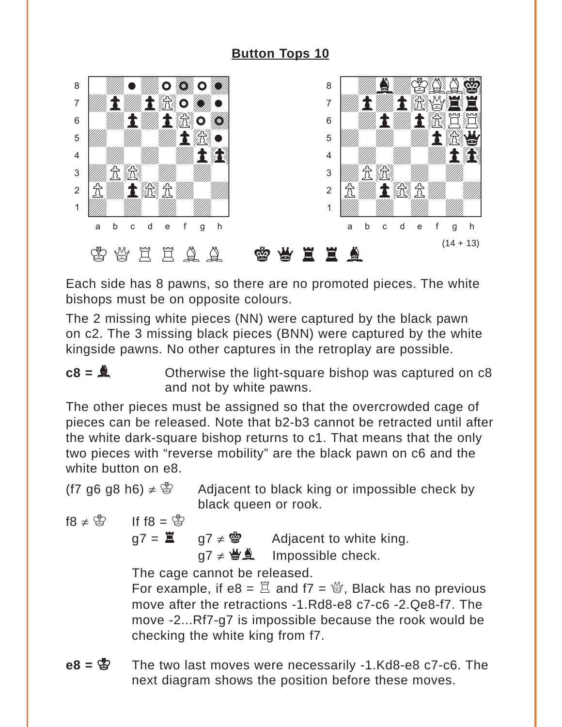<span id="page-28-0"></span>![](_page_28_Picture_1.jpeg)

Each side has 8 pawns, so there are no promoted pieces. The white bishops must be on opposite colours.

The 2 missing white pieces (NN) were captured by the black pawn on c2. The 3 missing black pieces (BNN) were captured by the white kingside pawns. No other captures in the retroplay are possible.

$$
c8 = 4
$$
 Otherwise the light-square bishop was captured on c8 and not by white pawns.

The other pieces must be assigned so that the overcrowded cage of pieces can be released. Note that b2-b3 cannot be retracted until after the white dark-square bishop returns to c1. That means that the only two pieces with "reverse mobility" are the black pawn on c6 and the white button on e8.

(f7 g6 g8 h6)  $\neq$  \fack Adjacent to black king or impossible check by black queen or rook.

$$
69 = 81 \qquad 69 \neq 81
$$

 $g7 = \mathbf{H}$  g7  $\neq$   $\mathbf{Q}$  Adjacent to white king.

 $q7 \neq \biguplus_{n=1}^{\infty}$  Impossible check.

The cage cannot be released.

For example, if  $e8 = \mathbb{E}$  and  $17 = \mathbb{E}$ . Black has no previous move after the retractions -1.Rd8-e8 c7-c6 -2.Qe8-f7. The move -2...Rf7-g7 is impossible because the rook would be checking the white king from f7.

**e8 =** K The two last moves were necessarily -1.Kd8-e8 c7-c6. The next diagram shows the position before these moves.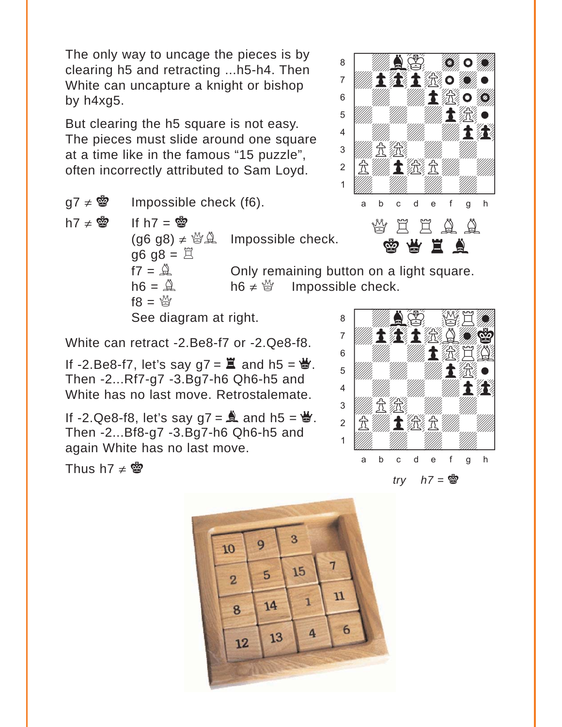The only way to uncage the pieces is by clearing h5 and retracting ...h5-h4. Then White can uncapture a knight or bishop by h4xg5.

But clearing the h5 square is not easy. The pieces must slide around one square at a time like in the famous "15 puzzle", often incorrectly attributed to Sam Loyd.

 $g7 \neq \mathbf{w}$  Impossible check (f6).

h7  $\neq$   $\otimes$  If h7 =  $\otimes$  $(q6 q8) \neq \frac{M}{2}$  Impossible check.  $gg = 8$  $f7 = \hat{A}$  Only remaining button on a light square.  $h6 = \mathbb{A}$  h6  $\neq \mathbb{B}$  Impossible check.  $f8 = \frac{M}{2}$ 

See diagram at right.

White can retract -2.Be8-f7 or -2.Qe8-f8.

If -2.Be8-f7, let's say  $g7 = \Xi$  and  $h5 = \Xi$ . Then -2...Rf7-g7 -3.Bg7-h6 Qh6-h5 and White has no last move. Retrostalemate.

If -2.Qe8-f8, let's say  $g7 = \stackrel{\triangle}{\sim}$  and h5 =  $\stackrel{\triangle}{\sim}$ . Then -2...Bf8-g7 -3.Bg7-h6 Qh6-h5 and again White has no last move.

Thus h7  $\neq$   $\otimes$ 

![](_page_29_Picture_11.jpeg)

![](_page_29_Picture_12.jpeg)

![](_page_29_Picture_13.jpeg)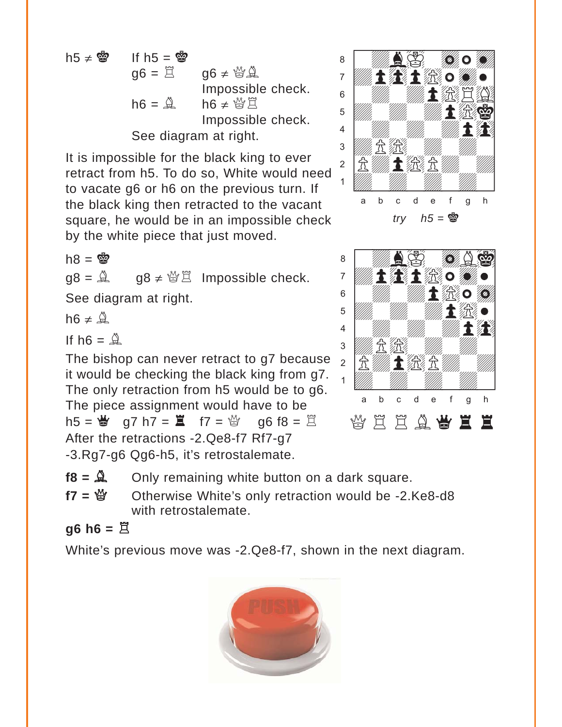![](_page_30_Figure_0.jpeg)

It is impossible for the black king to ever retract from h5. To do so, White would need to vacate g6 or h6 on the previous turn. If the black king then retracted to the vacant square, he would be in an impossible check by the white piece that just moved.

 $h8 = \frac{m}{2}$ 

 $q8 = \mathbb{A}$   $q8 \neq \mathbb{B}$  Impossible check.

See diagram at right.

 $h6 \neq \overset{16}{\oplus}$ 

If h $6 = \overset{8}{\triangle}$ 

The bishop can never retract to g7 because it would be checking the black king from g7. The only retraction from h5 would be to g6. The piece assignment would have to be h5 =  $\frac{M}{d}$  q7 h7 =  $\frac{M}{d}$  f7 =  $\frac{M}{d}$  q6 f8 =  $\frac{M}{d}$ After the retractions -2.Qe8-f7 Rf7-g7 -3.Rg7-g6 Qg6-h5, it's retrostalemate.

![](_page_30_Picture_8.jpeg)

w\_\_\_\_\_\_\_\_w áwdbIwdBi] àdp0p)wdw] ßwdwdp)wd] Þdwdwdp)w] Ýwdwdwdp0] ÜdP)wdwdw] ÛPdp)Pdwd] Údwdwdwdw] wÁÂÃÄÅÆÇÈw QRRBqrr

 $f8 = \mathbb{R}$  Only remaining white button on a dark square.

f7 = 營 Otherwise White's only retraction would be -2.Ke8-d8 with retrostalemate.

 $g6$  h6 =  $\ddot{\Xi}$ 

White's previous move was -2.Qe8-f7, shown in the next diagram.

![](_page_30_Picture_14.jpeg)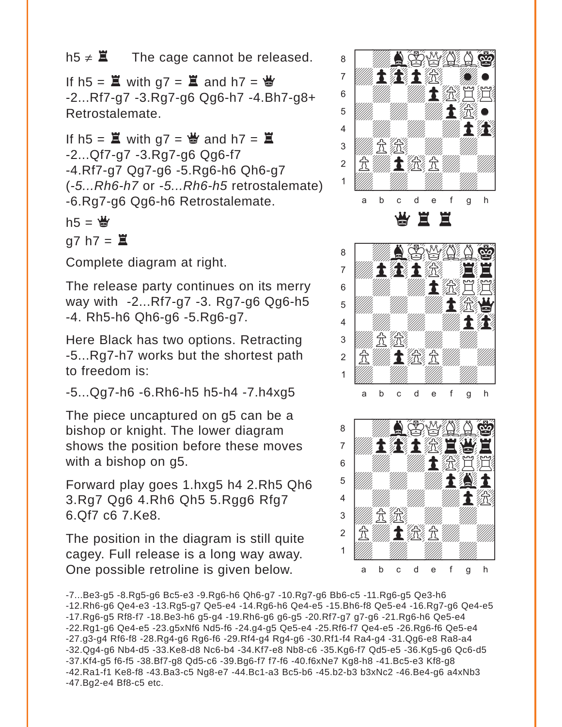h5  $\neq$   $\Xi$  The cage cannot be released.

If h5 =  $\Xi$  with g7 =  $\Xi$  and h7 =  $\Xi$ -2...Rf7-g7 -3.Rg7-g6 Qg6-h7 -4.Bh7-g8+ Retrostalemate.

If h5 =  $\Xi$  with g7 =  $\frac{M}{d}$  and h7 =  $\Xi$ -2...Qf7-g7 -3.Rg7-g6 Qg6-f7 -4.Rf7-g7 Qg7-g6 -5.Rg6-h6 Qh6-g7 (*-5...Rh6-h7* or -*5...Rh6-h5* retrostalemate) -6.Rg7-g6 Qg6-h6 Retrostalemate.

 $h5 = \frac{M}{2}$ 

 $q7 h7 =$  $\Xi$ 

Complete diagram at right.

The release party continues on its merry way with -2...Rf7-g7 -3. Rg7-g6 Qg6-h5 -4. Rh5-h6 Qh6-g6 -5.Rg6-g7.

Here Black has two options. Retracting -5...Rg7-h7 works but the shortest path to freedom is:

-5...Qg7-h6 -6.Rh6-h5 h5-h4 -7.h4xg5

The piece uncaptured on g5 can be a bishop or knight. The lower diagram shows the position before these moves with a bishop on g5.

Forward play goes 1.hxg5 h4 2.Rh5 Qh6 3.Rg7 Qg6 4.Rh6 Qh5 5.Rgg6 Rfg7 6.Qf7 c6 7.Ke8.

The position in the diagram is still quite cagey. Full release is a long way away. One possible retroline is given below.

![](_page_31_Picture_12.jpeg)

<sup>-7...</sup>Be3-g5 -8.Rg5-g6 Bc5-e3 -9.Rg6-h6 Qh6-g7 -10.Rg7-g6 Bb6-c5 -11.Rg6-g5 Qe3-h6 -12.Rh6-g6 Qe4-e3 -13.Rg5-g7 Qe5-e4 -14.Rg6-h6 Qe4-e5 -15.Bh6-f8 Qe5-e4 -16.Rg7-g6 Qe4-e5 -17.Rg6-g5 Rf8-f7 -18.Be3-h6 g5-g4 -19.Rh6-g6 g6-g5 -20.Rf7-g7 g7-g6 -21.Rg6-h6 Qe5-e4 -22.Rg1-g6 Qe4-e5 -23.g5xNf6 Nd5-f6 -24.g4-g5 Qe5-e4 -25.Rf6-f7 Qe4-e5 -26.Rg6-f6 Qe5-e4 -27.g3-g4 Rf6-f8 -28.Rg4-g6 Rg6-f6 -29.Rf4-g4 Rg4-g6 -30.Rf1-f4 Ra4-g4 -31.Qg6-e8 Ra8-a4 -32.Qg4-g6 Nb4-d5 -33.Ke8-d8 Nc6-b4 -34.Kf7-e8 Nb8-c6 -35.Kg6-f7 Qd5-e5 -36.Kg5-g6 Qc6-d5 -37.Kf4-g5 f6-f5 -38.Bf7-g8 Qd5-c6 -39.Bg6-f7 f7-f6 -40.f6xNe7 Kg8-h8 -41.Bc5-e3 Kf8-g8 -42.Ra1-f1 Ke8-f8 -43.Ba3-c5 Ng8-e7 -44.Bc1-a3 Bc5-b6 -45.b2-b3 b3xNc2 -46.Be4-g6 a4xNb3 -47.Bg2-e4 Bf8-c5 etc.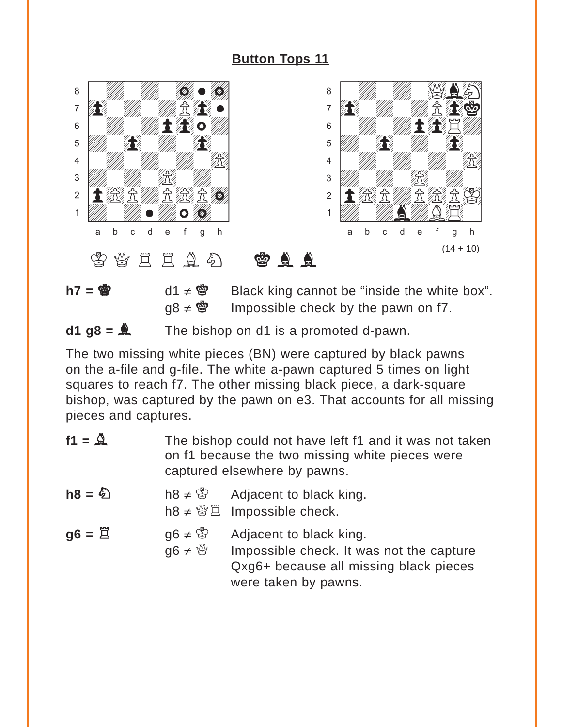<span id="page-32-0"></span>![](_page_32_Picture_1.jpeg)

**h7 =**  $\bullet$  d1 ≠  $\bullet$  Black king cannot be "inside the white box".  $q8 \neq \circ$  Impossible check by the pawn on f7.

#### $d1 g8 = \mathbf{A}$  The bishop on d1 is a promoted d-pawn.

The two missing white pieces (BN) were captured by black pawns on the a-file and g-file. The white a-pawn captured 5 times on light squares to reach f7. The other missing black piece, a dark-square bishop, was captured by the pawn on e3. That accounts for all missing pieces and captures.

| $f1 = 2$               | The bishop could not have left f1 and it was not taken<br>on f1 because the two missing white pieces were<br>captured elsewhere by pawns. |  |
|------------------------|-------------------------------------------------------------------------------------------------------------------------------------------|--|
| $h8 = \textcircled{2}$ | h8 $\neq$ \sigma Adjacent to black king.                                                                                                  |  |

- h8  $\neq \mathcal{B} \nexists$  Impossible check.
- $g6 = \Xi$  g6  $\neq \mathbb{S}$  Adjacent to black king.
	- g6  $\neq \frac{10}{2}$  Impossible check. It was not the capture Qxg6+ because all missing black pieces were taken by pawns.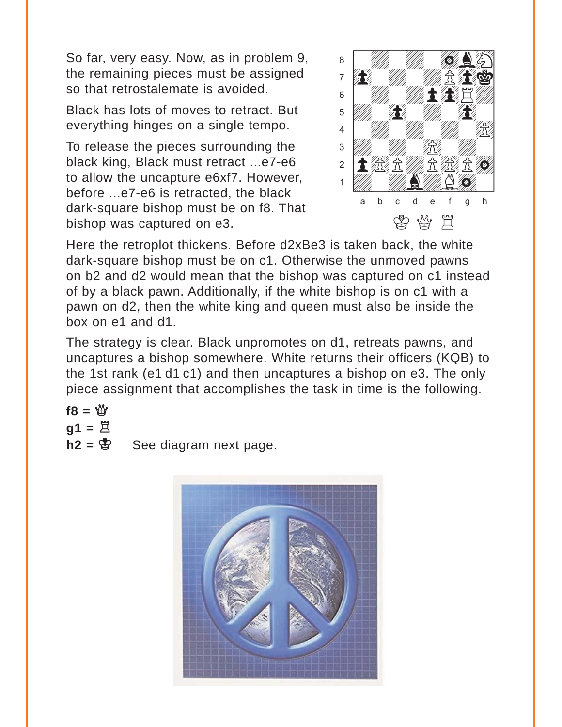So far, very easy. Now, as in problem 9, the remaining pieces must be assigned so that retrostalemate is avoided.

Black has lots of moves to retract. But everything hinges on a single tempo.

To release the pieces surrounding the black king, Black must retract ...e7-e6 to allow the uncapture e6xf7. However, before ...e7-e6 is retracted, the black dark-square bishop must be on f8. That bishop was captured on e3.

![](_page_33_Picture_3.jpeg)

Here the retroplot thickens. Before d2xBe3 is taken back, the white dark-square bishop must be on c1. Otherwise the unmoved pawns on b2 and d2 would mean that the bishop was captured on c1 instead of by a black pawn. Additionally, if the white bishop is on c1 with a pawn on d2, then the white king and queen must also be inside the box on e1 and d1.

The strategy is clear. Black unpromotes on d1, retreats pawns, and uncaptures a bishop somewhere. White returns their officers (KQB) to the 1st rank (e1 d1 c1) and then uncaptures a bishop on e3. The only piece assignment that accomplishes the task in time is the following.

$$
f8 = \overset{\omega}{2}
$$
  
g1 = \overset{\omega}{2}  
b2 = \overset{\omega}{2}

See diagram next page.

![](_page_33_Picture_8.jpeg)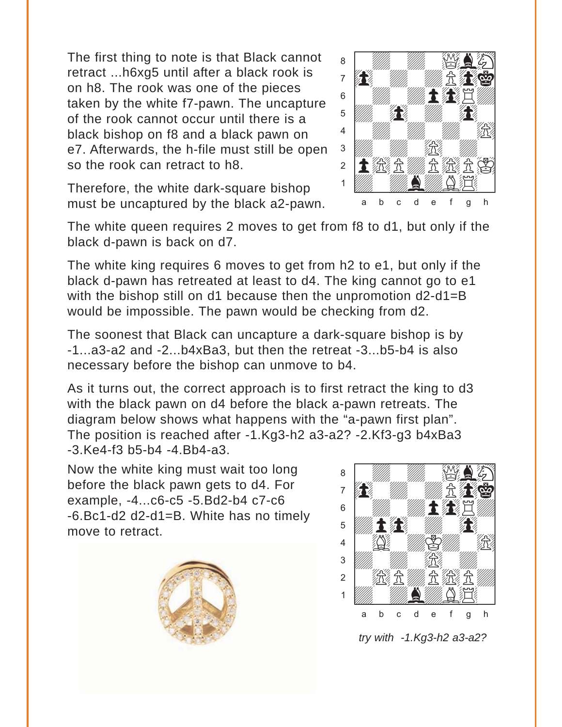The first thing to note is that Black cannot retract ...h6xg5 until after a black rook is on h8. The rook was one of the pieces taken by the white f7-pawn. The uncapture of the rook cannot occur until there is a black bishop on f8 and a black pawn on e7. Afterwards, the h-file must still be open so the rook can retract to h8.

Therefore, the white dark-square bishop must be uncaptured by the black a2-pawn.

![](_page_34_Picture_2.jpeg)

The white king requires 6 moves to get from h2 to e1, but only if the black d-pawn has retreated at least to d4. The king cannot go to e1 with the bishop still on d1 because then the unpromotion d2-d1=B would be impossible. The pawn would be checking from d2.

The soonest that Black can uncapture a dark-square bishop is by -1...a3-a2 and -2...b4xBa3, but then the retreat -3...b5-b4 is also necessary before the bishop can unmove to b4.

As it turns out, the correct approach is to first retract the king to d3 with the black pawn on d4 before the black a-pawn retreats. The diagram below shows what happens with the "a-pawn first plan". The position is reached after -1.Kg3-h2 a3-a2? -2.Kf3-g3 b4xBa3 -3.Ke4-f3 b5-b4 -4.Bb4-a3. with the set of the set of the set of the set of the set of the set of the set of the set of the set of the set of the set of the set of the set of the set of the set of the set of the set of the set of the set of the set

Now the white king must wait too long before the black pawn gets to d4. For example, -4...c6-c5 -5.Bd2-b4 c7-c6 -6.Bc1-d2 d2-d1=B. White has no timely move to retract.

![](_page_34_Picture_7.jpeg)

![](_page_34_Picture_8.jpeg)

*try with -1.Kg3-h2 a3-a2?*

![](_page_34_Picture_10.jpeg)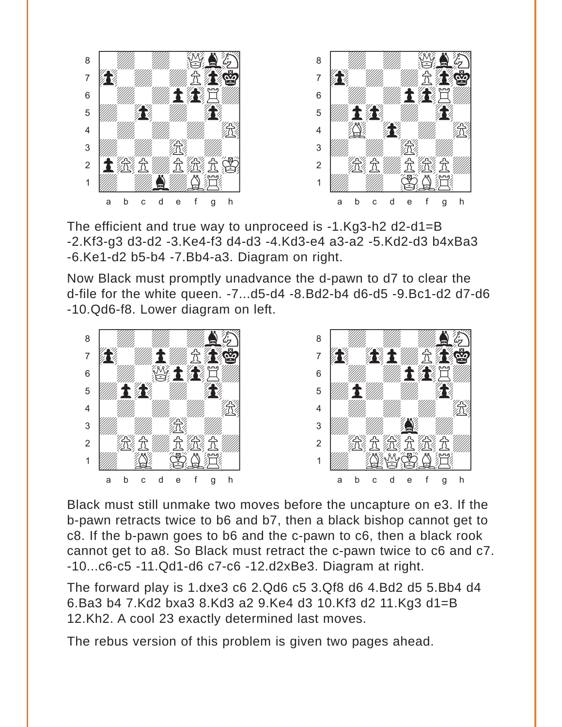![](_page_35_Picture_0.jpeg)

The efficient and true way to unproceed is -1.Kg3-h2 d2-d1=B -2.Kf3-g3 d3-d2 -3.Ke4-f3 d4-d3 -4.Kd3-e4 a3-a2 -5.Kd2-d3 b4xBa3 -6.Ke1-d2 b5-b4 -7.Bb4-a3. Diagram on right.

Now Black must promptly unadvance the d-pawn to d7 to clear the d-file for the white queen. -7...d5-d4 -8.Bd2-b4 d6-d5 -9.Bc1-d2 d7-d6 -10.Qd6-f8. Lower diagram on left.

![](_page_35_Picture_3.jpeg)

Black must still unmake two moves before the uncapture on e3. If the b-pawn retracts twice to b6 and b7, then a black bishop cannot get to c8. If the b-pawn goes to b6 and the c-pawn to c6, then a black rook cannot get to a8. So Black must retract the c-pawn twice to c6 and c7. -10...c6-c5 -11.Qd1-d6 c7-c6 -12.d2xBe3. Diagram at right.

The forward play is 1.dxe3 c6 2.Qd6 c5 3.Qf8 d6 4.Bd2 d5 5.Bb4 d4 6.Ba3 b4 7.Kd2 bxa3 8.Kd3 a2 9.Ke4 d3 10.Kf3 d2 11.Kg3 d1=B 12.Kh2. A cool 23 exactly determined last moves.

The rebus version of this problem is given two pages ahead.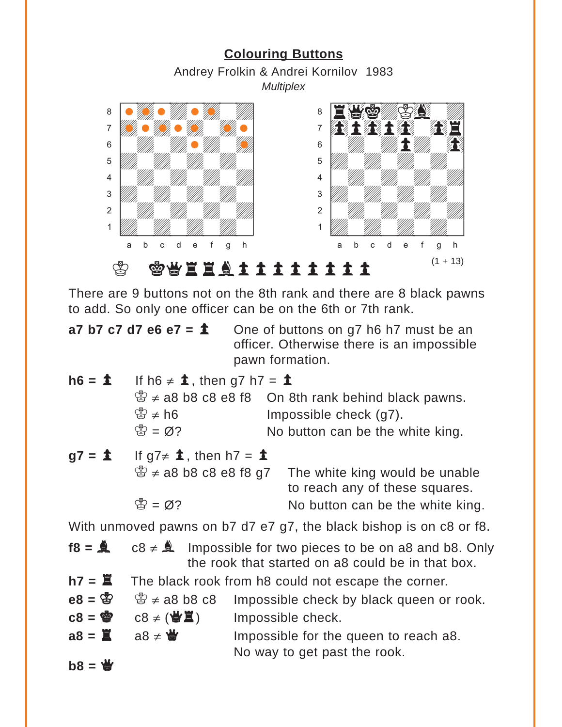<span id="page-36-0"></span>![](_page_36_Figure_0.jpeg)

There are 9 buttons not on the 8th rank and there are 8 black pawns to add. So only one officer can be on the 6th or 7th rank.

**a7 b7 c7 d7 e6 e7 =**  $\hat{\mathbf{\Sigma}}$  One of buttons on g7 h6 h7 must be an officer. Otherwise there is an impossible pawn formation.

- $h6 = \textbf{\textsterling}$  If h6  $\neq \textbf{\textsterling}$ , then g7 h7 =  $\textbf{\textsterling}$  $\mathbb{B} \neq$  a8 b8 c8 e8 f8 On 8th rank behind black pawns.  $\mathbb{S} \neq h6$  Impossible check (g7).  $\mathbb{S} = \emptyset$ ? No button can be the white king.
- $g7 = \pm 1$  If  $g7 \neq \pm 1$ , then h7 =  $\pm 1$  $\mathcal{L} \neq$  a8 b8 c8 e8 f8 g7 The white king would be unable to reach any of these squares.  $\mathbb{S} = \emptyset$ ? No button can be the white king.

With unmoved pawns on b7 d7 e7 g7, the black bishop is on c8 or f8.

- **f8 =**  $\triangle$  c8  $\neq$   $\triangle$  Impossible for two pieces to be on a8 and b8. Only the rook that started on a8 could be in that box.
- $h7 = \Xi$  The black rook from h8 could not escape the corner.
- **e8 =**  $\mathbb{E}$   $\mathbb{E}$   $\neq$  a8 b8 c8 Impossible check by black queen or rook.
- $c8 = \circledast$   $c8 \neq (\circledast \mathbb{Z})$  Impossible check.
- $a8 = \mathbb{Z}$  a8  $\neq \mathbb{Z}$  Impossible for the queen to reach a8. No way to get past the rook.
- $b8 = \frac{14}{3}$